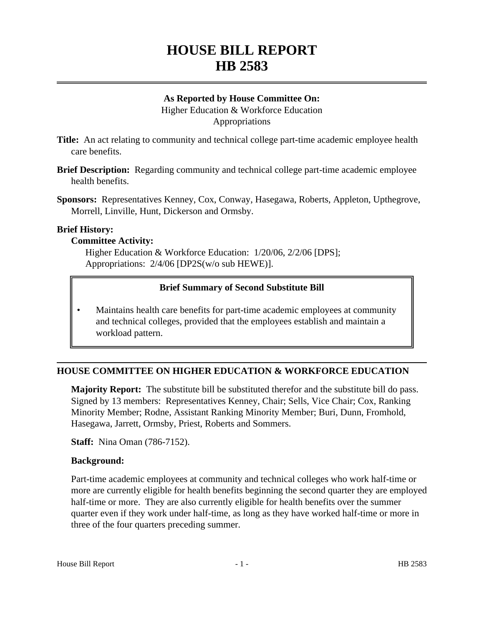# **HOUSE BILL REPORT HB 2583**

#### **As Reported by House Committee On:** Higher Education & Workforce Education Appropriations

- **Title:** An act relating to community and technical college part-time academic employee health care benefits.
- **Brief Description:** Regarding community and technical college part-time academic employee health benefits.

**Sponsors:** Representatives Kenney, Cox, Conway, Hasegawa, Roberts, Appleton, Upthegrove, Morrell, Linville, Hunt, Dickerson and Ormsby.

#### **Brief History:**

#### **Committee Activity:**

Higher Education & Workforce Education: 1/20/06, 2/2/06 [DPS]; Appropriations: 2/4/06 [DP2S(w/o sub HEWE)].

# **Brief Summary of Second Substitute Bill**

• Maintains health care benefits for part-time academic employees at community and technical colleges, provided that the employees establish and maintain a workload pattern.

# **HOUSE COMMITTEE ON HIGHER EDUCATION & WORKFORCE EDUCATION**

**Majority Report:** The substitute bill be substituted therefor and the substitute bill do pass. Signed by 13 members: Representatives Kenney, Chair; Sells, Vice Chair; Cox, Ranking Minority Member; Rodne, Assistant Ranking Minority Member; Buri, Dunn, Fromhold, Hasegawa, Jarrett, Ormsby, Priest, Roberts and Sommers.

**Staff:** Nina Oman (786-7152).

# **Background:**

Part-time academic employees at community and technical colleges who work half-time or more are currently eligible for health benefits beginning the second quarter they are employed half-time or more. They are also currently eligible for health benefits over the summer quarter even if they work under half-time, as long as they have worked half-time or more in three of the four quarters preceding summer.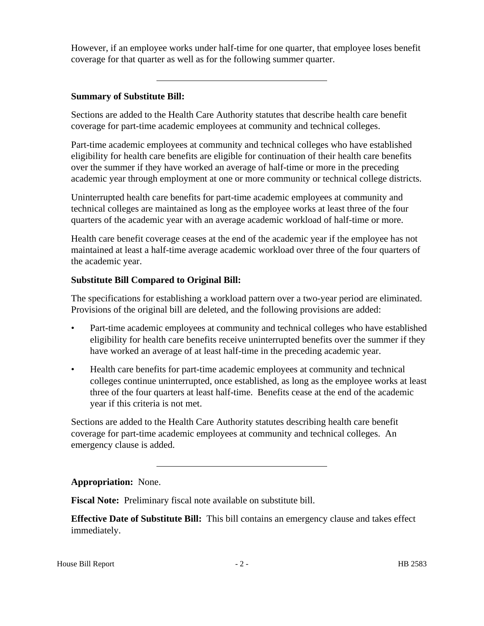However, if an employee works under half-time for one quarter, that employee loses benefit coverage for that quarter as well as for the following summer quarter.

# **Summary of Substitute Bill:**

Sections are added to the Health Care Authority statutes that describe health care benefit coverage for part-time academic employees at community and technical colleges.

Part-time academic employees at community and technical colleges who have established eligibility for health care benefits are eligible for continuation of their health care benefits over the summer if they have worked an average of half-time or more in the preceding academic year through employment at one or more community or technical college districts.

Uninterrupted health care benefits for part-time academic employees at community and technical colleges are maintained as long as the employee works at least three of the four quarters of the academic year with an average academic workload of half-time or more.

Health care benefit coverage ceases at the end of the academic year if the employee has not maintained at least a half-time average academic workload over three of the four quarters of the academic year.

# **Substitute Bill Compared to Original Bill:**

The specifications for establishing a workload pattern over a two-year period are eliminated. Provisions of the original bill are deleted, and the following provisions are added:

- Part-time academic employees at community and technical colleges who have established eligibility for health care benefits receive uninterrupted benefits over the summer if they have worked an average of at least half-time in the preceding academic year.
- Health care benefits for part-time academic employees at community and technical colleges continue uninterrupted, once established, as long as the employee works at least three of the four quarters at least half-time. Benefits cease at the end of the academic year if this criteria is not met.

Sections are added to the Health Care Authority statutes describing health care benefit coverage for part-time academic employees at community and technical colleges. An emergency clause is added.

# **Appropriation:** None.

**Fiscal Note:** Preliminary fiscal note available on substitute bill.

**Effective Date of Substitute Bill:** This bill contains an emergency clause and takes effect immediately.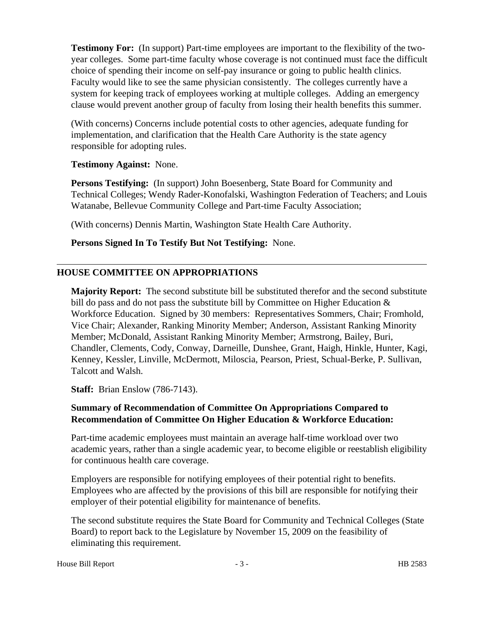**Testimony For:** (In support) Part-time employees are important to the flexibility of the twoyear colleges. Some part-time faculty whose coverage is not continued must face the difficult choice of spending their income on self-pay insurance or going to public health clinics. Faculty would like to see the same physician consistently. The colleges currently have a system for keeping track of employees working at multiple colleges. Adding an emergency clause would prevent another group of faculty from losing their health benefits this summer.

(With concerns) Concerns include potential costs to other agencies, adequate funding for implementation, and clarification that the Health Care Authority is the state agency responsible for adopting rules.

**Testimony Against:** None.

**Persons Testifying:** (In support) John Boesenberg, State Board for Community and Technical Colleges; Wendy Rader-Konofalski, Washington Federation of Teachers; and Louis Watanabe, Bellevue Community College and Part-time Faculty Association;

(With concerns) Dennis Martin, Washington State Health Care Authority.

**Persons Signed In To Testify But Not Testifying:** None.

# **HOUSE COMMITTEE ON APPROPRIATIONS**

**Majority Report:** The second substitute bill be substituted therefor and the second substitute bill do pass and do not pass the substitute bill by Committee on Higher Education  $\&$ Workforce Education. Signed by 30 members: Representatives Sommers, Chair; Fromhold, Vice Chair; Alexander, Ranking Minority Member; Anderson, Assistant Ranking Minority Member; McDonald, Assistant Ranking Minority Member; Armstrong, Bailey, Buri, Chandler, Clements, Cody, Conway, Darneille, Dunshee, Grant, Haigh, Hinkle, Hunter, Kagi, Kenney, Kessler, Linville, McDermott, Miloscia, Pearson, Priest, Schual-Berke, P. Sullivan, Talcott and Walsh.

**Staff:** Brian Enslow (786-7143).

# **Summary of Recommendation of Committee On Appropriations Compared to Recommendation of Committee On Higher Education & Workforce Education:**

Part-time academic employees must maintain an average half-time workload over two academic years, rather than a single academic year, to become eligible or reestablish eligibility for continuous health care coverage.

Employers are responsible for notifying employees of their potential right to benefits. Employees who are affected by the provisions of this bill are responsible for notifying their employer of their potential eligibility for maintenance of benefits.

The second substitute requires the State Board for Community and Technical Colleges (State Board) to report back to the Legislature by November 15, 2009 on the feasibility of eliminating this requirement.